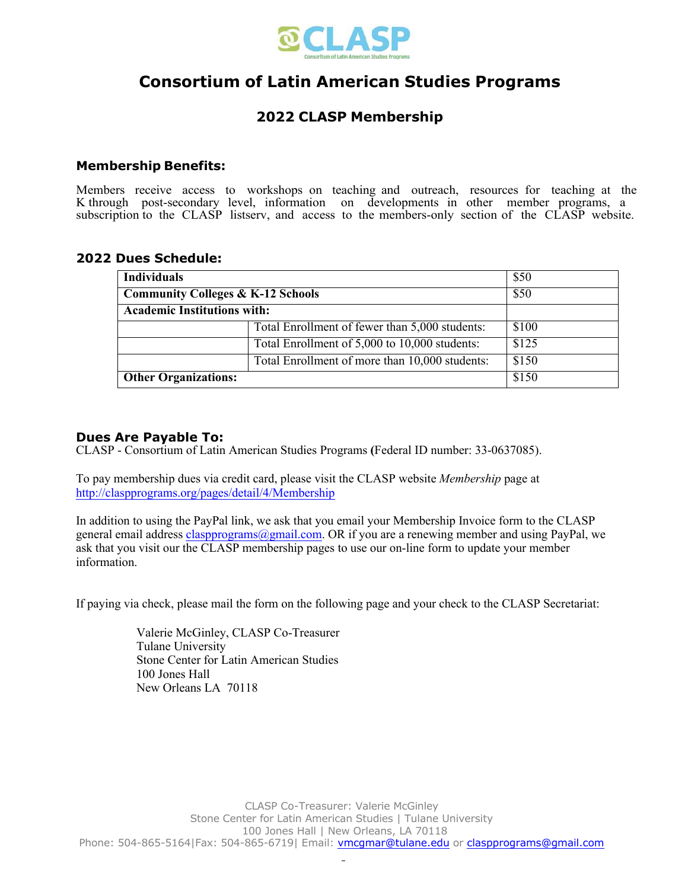

# **Consortium of Latin American Studies Programs**

## **2022 CLASP Membership**

### **Membership Benefits:**

Members receive access to workshops on teaching and outreach, resources for teaching at the K through post-secondary level, information on developments in other member programs, a subscription to the CLASP listserv, and access to the members-only section of the CLASP website.

#### **2022 Dues Schedule:**

| <b>Individuals</b>                           |                                                | \$50  |
|----------------------------------------------|------------------------------------------------|-------|
| <b>Community Colleges &amp; K-12 Schools</b> |                                                | \$50  |
| <b>Academic Institutions with:</b>           |                                                |       |
|                                              | Total Enrollment of fewer than 5,000 students: | \$100 |
|                                              | Total Enrollment of 5,000 to 10,000 students:  | \$125 |
|                                              | Total Enrollment of more than 10,000 students: | \$150 |
| <b>Other Organizations:</b>                  |                                                | \$150 |

### **Dues Are Payable To:**

CLASP - Consortium of Latin American Studies Programs **(**Federal ID number: 33-0637085).

To pay membership dues via credit card, please visit the CLASP website *Membership* page at http://claspprograms.org/pages/detail/4/Membership

In addition to using the PayPal link, we ask that you email your Membership Invoice form to the CLASP general email address claspprograms@gmail.com. OR if you are a renewing member and using PayPal, we ask that you visit our the CLASP membership pages to use our on-line form to update your member information.

If paying via check, please mail the form on the following page and your check to the CLASP Secretariat:

Valerie McGinley, CLASP Co-Treasurer Tulane University Stone Center for Latin American Studies 100 Jones Hall New Orleans LA 70118